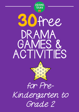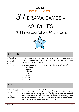## Mrs. B's DRAMA TRUNK

# <sup>31</sup> DRAMA GAMES +

## ACTIVITIES

For Pre-Kindergarten to Grade 2



## 3 NOSES

A fun physical warm up, promoting group cooperation

Students walk around the room. Teacher shouts out "3 noses" and the students must form groups with 3 touching noses. Call out different things for students to create groups with.

**Examples** (you can add in left or right to these also i.e. 10 left thumbs)

- 5 belly buttons
- 4 big toes
- 10 thumbs
- 3 ears
- 3 knees
- 4 elbows
- 2 cheeks

## 7 UP

A warm up to get students loosened up.

Useful for play rehearsals

In a circle, everyone counts to 7 while waving one arm up and down to the same rhythm as the counting. When the group reaches 7, do the same thing with the other arm, both legs, head and ankles (or whatever part of the body you want to warm up – make sure if you do the head, it is carefully). After the group has finished their sets of 7, do them all again, counting up to 6, then 5 and so on until the set is down to 1, 1, 1, 1, 1.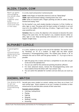## ALIEN, TIGER, COW

Warm up game encouraging the whole class to work together and build awareness of everyone else in the class

In a circle, teach and practice 3 actions/sounds

**ALIEN**: index fingers on head (like antenna's) and say "bleep bleep" **TIGER**: right hand forward making a clawing action and "roar" **COW**: hands on stomach with 2 fingers pointing out (like an udder), leaning forward and saying "moo"

On the teacher's cue, each student decides to become 1 of the 3 (either an alien, tiger or cow). The group with the least number of students is out and must sit in the middle of the circle (e.g. 10 aliens, 7 tigers and 5 cows – the cows would be out).

**Variation:** Also in a circle, the objective is for everyone to become the same thing at the same time. On the teacher's cue, students become either an alien, tiger or cow. Keep practicing until everyone is in sync – this won't happen straight away.

## ALPHABET CIRCLE

A good game for concentration and practicing ABC's at the same lime

In a circle, students try to get to the end of the alphabet. The teacher starts by "throwing" an "A" to a student. To begin with the letter should accompany a throwing/pointing action. The student then throws a "B" to someone else and so forth until the group reaches "Z". Try to go as fast as possible

- Split the group into 2 teams and have a competition to see who can get to the end of the alphabet first
- You can use a ball for this activity but pointing should be sufficient
- For more advanced classes, remove the throwing/pointing action and have students throw the letters with "eye contact" only
- You can switch the alphabet for numbers and see what you can count up to.

## ANIMAL MATCH

Use drama skills to act out animals and find matching pairs

Secretly give every student an animal, making sure there are at least 2 of each animal type. Direct students to act out a number of activities as their animal and to try and find other animals of their same kind.

#### **Example animal activities:**

- Catching / eating dinner
- Playing
- Fighting
- Sleeping
- Walking / running
- Grooming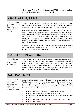**Check out Drama Trunk DRAMA ANIMALS for more animal themed drama activities and drama cards**

## APPLE, APPLE, APPLE

Technically not a drama game but a good warm up and concentration game

Students sit in a circle and the teacher allocates each child the name of a fruit (more than one student can be the same fruit and the teacher may write the fruits on the board to begin with. Use as many fruit types as you like).

One student stands in the middle of the circle and calls out the name of 1 fruit 3 times (e.g. *"apple apple apple"*). The students who are that type of fruit must shout out *"APPLE"* once before the student in the middle calls out the fruit type 3 times. If the students successfully interrupt the person in the middle before the person in the middle has finished saying *"apple apple apple"*, they stay where they are and the person in the middle must say a new fruit type 3 times.

If the person in the middle beats them and says *"apple apple apple"* before they have finished saying "*apple*" once, the student who was not quick enough replaces the person in the middle.

## ASSOCIATION WALKING

Students begin to use word associations in a fun way

This is a great activity for younger students to practice word associations. Students stand in a straight line. The teacher calls out various words (ice cream; dinner; Olympics; jungle animals etc...) and the students call out words that they can think of. For every word, students get to take a step. Instruct students not to take huge steps! When they reach one side of the room, they can then walk back (if you want to keep playing).

## BALL PASS MIME

A good circle activity to develop pantomime skills and interaction with mimed objects

In a circle, students pass a mimed ball to each other (only one ball at a time). Teacher starts the activity, showing the size of the ball. As the game progresses, teacher adds in additional instructions and students respond to the instructions as the game continues, catching and throwing the ball as if it has taken on the new characteristics.

- The ball becomes heavier and heavier (until it is really heavy)
- The ball becomes lighter and lighter (until it is really light)
- The ball becomes smaller (until it is tiny) (it may also be light or heavy and small)
- The ball becomes bigger and bigger (until it is huge) (and light or heavy)
- The ball becomes slippery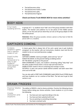- The ball becomes sticky
- The ball becomes hotter / colder
- The ball becomes spiky
- The ball becomes fragrant

#### **Check out Drama Trunk MAGIC BOX for more mime activities!**

## BODY HIDE

A fun <del>I</del>eam<br>building ac<del>l</del>ivi<del>l</del>y

In groups of  $5 - 6$ , students must 'hide' one of the group members with their bodies. The teacher and audience try to see pieces of the hidden person (shoes, an ear etc) and call out what they can see as the group adapts to hide the whole person.

**Extension:** When the group succeeds, remove a person so they have to hide the person with 4, 3, 2 students.

## CAPTAIN'S COMING

| A classic<br>children's game<br>that is always<br>loads of fun.                               | A classic game that is always lots of fun and a great way to get students<br>energised. As the teacher calls out instructions, students react and the last<br>student to do so is out (and becomes a judge). |
|-----------------------------------------------------------------------------------------------|--------------------------------------------------------------------------------------------------------------------------------------------------------------------------------------------------------------|
|                                                                                               | <b>Directions:</b>                                                                                                                                                                                           |
| Great to play                                                                                 | CAPTAIN'S COMING: stand up straight, salute and say "yes sir"                                                                                                                                                |
| before<br>rehearsal of a<br>play to get<br>słudenłs<br>listening and<br>using their<br>bodies | SCRUB THE DECKS: on the ground making scrubbing actions                                                                                                                                                      |
|                                                                                               | HIT THE DECKS: Lying flat on the ground                                                                                                                                                                      |
|                                                                                               | MAN OVERBOARD: In pairs, one student is drowning calling "help help" and                                                                                                                                     |
|                                                                                               | the other student throws them a rescue rope and reels them in                                                                                                                                                |
|                                                                                               | SHARK ATTACK: hands in the air screaming and running in circles                                                                                                                                              |
|                                                                                               | OCTOPUS: In pairs one person stands behind another and both wave their                                                                                                                                       |
|                                                                                               | arms out to the side                                                                                                                                                                                         |
|                                                                                               |                                                                                                                                                                                                              |

You can also add in PORT (left) STARBOARD (right) BOW (front) STERN (back) and have students run to a section of the floor. The last one to get to that section is out.

## DRAMA FREEZES

Practice "drama freezes"

The ability to FREEZE is vital to drama activities. Practice the following drama freezes before doing your drama activities. Count students in 1,2,3 to show the following:

Create characters and situations

- *You have just seen superman flying in the sky*
- *You have just been splashed with mud*
- *You are pointing to something interesting*
- *You have a stomach ache*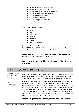- *You are modelling for a photo shoot*
- *You are being chased by a lion*
- *You are in the middle of a big dance move*
- *You are about to crash into something*
- *You are looking up at a giant*
- *You are getting dressed*
- *You are eating messy spaghetti*
- *You just stubbed your toe*
- *You are singing in the shower*

Or try these character freezes:

- *Zombie*
- *Pirate*
- *Witch / Wizard*
- *Teacher*
- *Superhero*
- *Burglar*
- *Frog / Cat / Dog etc...*

**Extension:** "Freeze and Go". Ask students to create a freeze and count them in to ACTION. On ACTION, students have to walk, move and talk or make sounds like the character or in reaction to the situation.

#### **Check out Drama Trunk DRAMA CARDS for hundreds of character ideas + more drama activities!**

**For more character activities, try DRAMA TRUNK Character Machines!**

## DRAMA SCARECROW TAG

A drama twist to the classic game scarecrow lag. Like scarecrow tag but with drama freezes. You may like to start with the classic version to remind students how to play. You can also practice doing some "drama freezes" before you begin (see above activity 'drama freezes').

**Practice** dramatic poses in a fun way

One person (or more) is "IT" and must try and catch the other class members. When a student is "tagged" they must freeze in an interesting drama pose (they may like to use one of the drama freezes they have already practiced or come up with their own). Other students in the game must try and "un-freeze" the students who are frozen by copying their drama freeze. They must stand directly in front of the frozen person when copying the freeze and try not to be tagged by the person who is "IT" themselves (otherwise they have to drama freeze as well).

#### **For more original drama activities, check out DRAMA TRUNK!**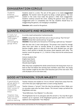## EXAGGERATION CIRCLE

Students practice exaggerated gestures

Students stand in a circle. The aim of this game is to create **exaggerated gestures**. The teacher starts the game by doing a simple gesture. The next student in the circle must make the gesture a little more exaggerated. Students continue around the circle, making the gesture more and more exaggerated until it is completely over the top. Students should focus on exaggerating the gesture, not changing it completely!

**Extension:** add a sound to the gesture.

## GIANTS, KNIGHTS AND WIZARDS

A really fun adaptation of "rock paper scissors" encouraging group ethos

In a circle, teach and practice 3 actions/sounds

**GIANTS**: stamp their feet with their arms in the air and say "fee fi fo fum" **KNIGHTS:** draw their swords and say "en guard" **WIZARDS**: throw both arms forward as if throwing a spell and say "*shazaam"*

Split the class into 2 even sized groups. The groups must stand far enough away from each other to secretly decide as a group whether they will become knights, giants or wizards. Once they have decided (you can give them a short period to decide) the groups stand opposite each other. The teacher counts the groups in 1, 2, 3 and on 3 they must do the action/sound as a group.

Instruct students that: Knights beat Giants Giants beat Wizards Wizards beat Knights

After they have completed the whole action/sound, the losing team must run back to their line before the winning team members catch them. Any losing team member caught by the other team becomes part of the new team. Play until all players are on one team only.

## GOOD AFTERNOON, YOUR MAJESTY

A good whole group game to encourage students to use their voices in interesting ways

Teacher chooses one student to "sit on a throne" which faces away from the rest of the class (you might give them a crown as King /Queen).

Teacher chooses a "servant" from the class by pointing to them. Make sure no one gives away who has been chosen. The servant creeps up behind the King/Queen and says:

*"Good Afternoon, Your Majesty"* in a silly voice.

Teacher may practice some "silly voices" before starting

The King/Queen has to try and guess who the servant is. You may like to give students up to 3 guesses. If the King/Queen guesses, give them a round of applause and congratulate "Your Majesty".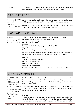the game Take it in turns to be King/Queen or servant. It may take some practice to master silly voices but they will love the game when they master it.

## GROUP FREEZE

A concentration game that focuses students on their surrounds Students and teacher walk around the space. As soon as the teacher stops walking, students must "freeze". See how quickly the group can freeze. **Extension:** Instead of the teacher, any student (or a secretly allocated) student can stop, prompting everyone else to freeze.

## LAP, LAP, CLAP, SNAP

An areal activity to learn names and practice rhythm Students sit in a circle. All students say their name around the circle. Demonstrate and practice the rhythm with actions. **Say:** *"Lap Lap Clap Snap"*  **Actions:**  Lap Lap – students slap their thighs twice in time with the rhythm Clap – clap hands once Snap – clicking fingers once with both hands

> Practice the rhythm with actions until the class has mastered it. Now switch the word "snap" with student names. Students continue the pattern.

#### **Example:**

TEACHER: *Lap Lap Clap Michael* MICHAEL: *Lap Lap Clap Harry* HARRY: *Lap Lap Clap Juliette* JULIETTE: *Lap Lap Clap Eva*

**Extension:** Speed up the rhythm and start eliminating students who miss the rhythm

## LOCATION FREEZE

#### Students use their imagination to create frozen "tableaux" that depict locations

Students accept "offers" made

students and

by other

explore imagery Teacher explains that a "frozen tableaux" is a frozen picture or postcard that the students will make to show the class a location or setting. Students will be directed to get up one at a time and think of something or someone that would be in a location.

The teacher prompts students to create a "tableaux" or "frozen picture" with around 5 or 6 students, getting input from the class about what characters / things they might find in the location.

#### **Example:**

The scene is in a HOSPITAL EMERGENCY ROOM: Teacher asks students to think of characters they might find in a hospital waiting room. Teacher encourages students to interact with each other and to complement other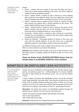Students learn the drama technique of 'tableaux'

freezes.

- *Doctor* teacher asks one student to hop onto the stage and show a freeze like a doctor doing something in the scene. The doctor might be reading a chart or examining a patient.
- *Nurse*  teacher directs a student to take a freeze as a nurse, thinking about what the nurse might be doing. The nurse might take a freeze like they are talking to the doctor or perhaps the nurse is at the nurses desk.
- *Patient –* teacher directs a student to take a freeze as a patient. Perhaps they become the patient who is being examined by the doctor. The patient might hold their leg as if it were broken.
- *Parent –* teacher directs a student to take a freeze as the parent of the patient. Perhaps they put their arm on the shoulder of the patient or freeze like they are asking the doctor or nurse a question.
- *Paramedic*  teacher directs a student to take a freeze as a paramedic. Perhaps they are wheeling in a stretcher bed with another patient they just picked up in the ambulance.
- *Patient on Stretcher -* Encourage students to interact in the scene and work with the existing tableaux. As the last freeze was a paramedic wheeling a patient in, encourage a student to become that patient.

Try different locations and create multiple frozen pictures! You can have as little or as many students as you like in the tableaux.

**Extension:** Have students come up with 1 line to say as their character. Once the frozen picture is complete, prompt the students to take it in turns to say their line.

#### **Check out Drama Trunk LOCATION (SETTINGS) Drama Cards for location ideas or try OLYMPIC EVENTS for more activities!**

## MINEFIELD (BLINDFOLDED LEAD ACTIVITY)

A trust building activity that also helps students with listening to and giving 'stage directions'

Teacher sets up a minefield by scattering objects over the floor (books, bags, pencils, scrunched up paper etc... nothing dangerous of course). Students may like to help setting up the obstacle course. You can call the objects "mines".

In pairs, students will direct their blindfolded partner around the minefield using "stage directions" (so voices only). They should try to get from one side of the room to another without touching any mines. If there are too many students to do this at the same time, split the class into groups and have the others form an audience. Ask students to listen for "good stage directions".

**Alternative:** The whole class directs one blindfolded student through the obstacle course, taking it in turns to say one command each.

Teacher may need to prompt students with example commands: *Take 4 small steps forward Take 1 large step to your right* 

**Extension:** Students have to sit down if they step on something.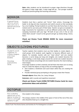**Note:** older students can be introduced to proper stage directions through this game (2 steps stage right, 3 steps stage left etc... but younger students should just practice giving and receiving commands).

## MIRROR

A good focus activity which also acts as a gentle physical warm up

Students must face a partner and "mirror" their actions. Encourage the leader to do big and slow movements and switch around so that everybody has a turn leading. Prompt students to use their faces (do funny faces in slow motion) and to use every part of their body. Teacher can give an example of large movements for inspiration or call out different actions (like 'do a big sweeping movement with your legs' 'lift both of your arms in the air and shake them around' 'crouch to the ground and get up slowly doing a funny face').

#### **Check out Drama Trunk DRAMA SHOES for more movement activities!**

## OBJECTS (LIVING PICTURES)

Students work together to create shapes with their bodies

Develop pantomime skills

Teacher explains that students must use their bodies to create objects. In small groups (3-4) students work together to become different parts of objects. For example, teacher calls out "*roast dinner"* and one student becomes a carrot (lying out long and straight), one student becomes the plate (making a circle body shape around the carrot) one student becomes the roast potatoes (crouching) and one student becomes the meat (making a meat shape).

Encourage students to think creatively and tell them that there are no wrong ways to create the objects as long as they are working together.

- Give students a timeframe and count down while they are creating the freezes
- Provide individual group prompting as the groups create their freezes

**Example objects:** Shoe; Kite; Car; Lamp; Octopus

**Extension:** add in sounds and repetitive movement

#### **Check out Drama Trunk LIVING PICTURES Drama Cards for more pantomime ideas and activities!**

## OCTOPUS

Not a drama game but a fun game to play (if there is enough space) to get

One student is the octopus.

The octopus stands in the middle of the space in front of the rest of the class who should be lined up in a straight line.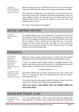students warmed up or to round off a drama lesson

When the octopus calls out "OCTOPUS" the class has to run across the space to get to the other side. The octopus tries to tag as many people as possible.

When someone is tagged they must stand still on the spot with their arms out waving. They are now "seaweed" and will try and tag people as they run across (without moving). The seaweed can turn around to face the line of students before they run but are not allowed to move their feet to tag students as they run past.

The winner is the last person to be tagged.

## QUICK-CHANGE ARTIST

Develop observation skills

One student becomes the "quick change artist" and stands in front of the class showing off their different angles. The quick-change artist then leaves the room and changes something noticeable about themselves (puts their hair up, undoes a button, switches left and right shoes etc...). The quickchange artist then comes back inside and stands at the front while the audience tries to guess the change. The first student to guess the change becomes the next quick-change artist.

## PRESENTS

A creative activity to practice pantomime skills and develop improvisations skills

Before you begin, practice miming opening a present with the students showing how to mime taking the paper off and opening the flaps of a box.

In pairs, one student hands another student an imaginary present. Their partner takes the box and opens it and pulls out something that they have always wanted. The student says (in a loud and excited voice)

"*I've always wanted a ..........*"

Students think about objects and how to represent them

And interacts briefly with the object, showing its size, how it works, how heavy it is, miming the shape and talking about how they are using it. Encourage loud voices.

This activity should be done quickly. Switch the students around a few times so they have a few goes each of giving and receiving presents.

**Check out Drama Trunk MAGIC BOX and DRAMA SHOES for more mime ideas!**

## RECEIVER RIGHT CLAP

A good and energetic focus activity In a circle, students throw a "clap" to any other player by clapping both hands together in a forward motion towards the person they are throwing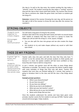the clap to. As well as the clap noise, the student sending the clap makes a "whoosh" sound. The student receiving the clap makes a "sucking" sound as they pull the clap to their chests (with both hands). The receiver then throws the clap to someone else. Make the game faster and faster as students get the hang of it.

**Extension:** Instead of the receiver throwing the next clap, ask the person on the right or left of the receiver to throw the next clap after the receiver has received it.

## STRING OBJECTS

Students work together to create shapes

Encourages group communication You will need a long piece of string for this activity.

Students take hold of the string with both hands and hold it at around waste level. Explain to students that they must work as a group to create the shapes you call out with the string (i.e. circle, square, triangle).

- You can also split the class into groups and see who creates the shape first.
- Ask students to try and make shapes without any sound or with their eyes closed

## THIS IS MY FRIEND

A great "get to know you" activity

Students practice talking to each other and presenting information to the whole class

Teacher splits class into pairs and tells the class that they only have "1 minute" to do this activity (this will prompt students to think quickly and because it is short, the quieter students will feel more confident as they know they don't have to talk for a long time).

In just 1 minute, one partner must tell the other as many things about themselves as possible. The teacher may prompt this before students begin with some examples of things that they may talk about. Teacher tells students that once they are finished talking for 1 minute, their partner is going to introduce them to the class and tell the class a few things about them.

#### **Example prompt questions:**

- *What is your favourite food?*
- *Do you have any pets?*
- *Do you have any siblings?*
- *What do you love to do (hobbies)?*
- *What was your last teacher's name?*
- *What did you do on your last birthday?*
- *Name some things that you love.*

Once the students understand the activity and have been given some prompts, teacher counts the first student in and says ACTION. Teacher walks around and encourages / helps students.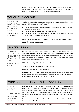Once a minute is up, the teacher asks their partners to tell the class  $2 - 3$ things about their new friend. The class may sit down for this. Now, switch over so that everyone has a turn to introduce a new friend.

## TOUCH THE COLOUR

Not a drama game but a really fun warm up activity to get the class moving

Familiarise a new space

Teacher calls out different colours and students must find something in the space which is that colour and "touch it".

- Can add the instruction that students are not allowed to touch each other (although I never have)
- Can eliminate the last student to find something
- Can repeat colours but tell students they are not allowed to touch the same coloured thing more than once

#### **Check out Drama Trunk DRAMA COLOURS for more drama activities based on colours!**

## TRAFFIC LIGHTS

A fun little warm up game to get students up and moving and listening to instructions Can be played quickly Students walk around the room and following the cues that the teacher calls out. The last student to act is out and sits down. Students that are out may like to help the teacher and spot the last students to act. When students have the hang of it, it's fun to call out the same cue 2 or more times in a row and catch students who move, stop etc... RED – *Students stop still with both feet on the ground*

YELLOW – *Students stand with one foot in the air*

GREEN – *Students walk around the space*

**Optional:** OTHER COLOUR (either have just one other colour (i.e. purple) or when the teacher calls out any colour other than red, yellow or green)  $$ students must wave their arms and do a little dance.

## WHO'S GOT THE KEYS TO THE CASTLE?

A favourite game for this age group

Sit down game

Practice drama voices and facial

One student stands at the front with their back turned to the rest of the class. The rest of the class sit quietly in a huddle in front of the teacher. The teacher quietly chooses one student to have the "keys" and quietly hands that student the keys. The student with the keys gives them a jingle and all of the students put their hands behind their backs and pretend that they have them.

Students are instructed to look "*as guilty as possible*" so that the student at the front thinks that they have the keys.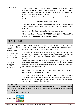expressions Students are also given a character voice to say the following line 3 times (e.g. witch, ghost, pop singer, mouse, giant) when the student at the front turns around (this is practicing character voices). Each time they say the line, it gets a little louder (practicing volume).

> When the student at the front turns around, the class says (3 times all together):

> > *"Who's got the keys to the castle?"*

The student at the front has 3 guesses to guess who has the keys. As the student guesses students, they reveal their hands to either have the keys or be empty.

Students may also like to suggest what character voices to use.

#### **Check out Drama Trunk CHARACTER and QUIRKY CHARACTER Drama Cards for hundreds of character ideas!**

## YES, LETS!

A classic drama game teaching students to accept offers

Students use movement, gesture and voices

Students practice improvisation and responding Teacher explains that in this game, the most important thing is that you accept "offers" made by everyone to do an activity and puts lots of energy into acting out the activity, using your voice and actions.

The teacher prompts students to find their own space in the room and practices some actions. When the teacher says "Let's ...*activity...."* the class must all say "Yes, Lets" loudly and then start acting out that activity.

#### **Example:**

The teacher calls out "*Let's dig a hole"* and the class says "Yes, lets!" and start acting out digging a hole. The teacher should join in with the actions and saying "yes, lets". Students can add dialogue and sounds but don't push this until they are more comfortable.

**Let's:** Drive a car */* Ride a horse / Skip around the class / Brush our hair / Catch a butterfly / Tell a naughty child off

The teacher should encourage a very loud and enthusiastic "Yes, ,lets!" which will impact the energy the students put into acting out the activities. Students may also be prompted to loudly suggest their own "Lets..." activity that the rest of the class will then follow.

#### **TERMS OF USE**

Please note that this product is for personal classroom or home school use by a single purchaser only. You may not distribute, copy or modify this product other than for your own personal classroom use.

© Drama Trunk. All rights reserved.

Graphics Credit: